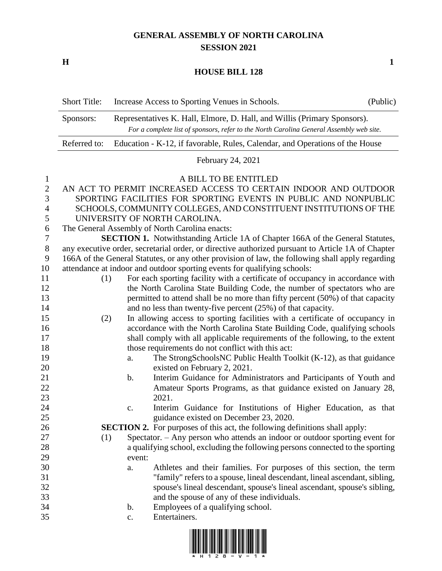## **GENERAL ASSEMBLY OF NORTH CAROLINA SESSION 2021**

**H 1**

## **HOUSE BILL 128**

|              | <b>Short Title:</b>                                                                               |               | Increase Access to Sporting Venues in Schools.                                     | (Public) |  |  |  |
|--------------|---------------------------------------------------------------------------------------------------|---------------|------------------------------------------------------------------------------------|----------|--|--|--|
|              | Representatives K. Hall, Elmore, D. Hall, and Willis (Primary Sponsors).<br>Sponsors:             |               |                                                                                    |          |  |  |  |
|              | For a complete list of sponsors, refer to the North Carolina General Assembly web site.           |               |                                                                                    |          |  |  |  |
|              | Referred to:<br>Education - K-12, if favorable, Rules, Calendar, and Operations of the House      |               |                                                                                    |          |  |  |  |
|              |                                                                                                   |               | February 24, 2021                                                                  |          |  |  |  |
| 1            |                                                                                                   |               | A BILL TO BE ENTITLED                                                              |          |  |  |  |
| $\mathbf{2}$ | AN ACT TO PERMIT INCREASED ACCESS TO CERTAIN INDOOR AND OUTDOOR                                   |               |                                                                                    |          |  |  |  |
| 3            | SPORTING FACILITIES FOR SPORTING EVENTS IN PUBLIC AND NONPUBLIC                                   |               |                                                                                    |          |  |  |  |
| 4            | SCHOOLS, COMMUNITY COLLEGES, AND CONSTITUENT INSTITUTIONS OF THE                                  |               |                                                                                    |          |  |  |  |
| 5            | UNIVERSITY OF NORTH CAROLINA.                                                                     |               |                                                                                    |          |  |  |  |
| 6            | The General Assembly of North Carolina enacts:                                                    |               |                                                                                    |          |  |  |  |
| 7            | <b>SECTION 1.</b> Notwithstanding Article 1A of Chapter 166A of the General Statutes,             |               |                                                                                    |          |  |  |  |
| 8            | any executive order, secretarial order, or directive authorized pursuant to Article 1A of Chapter |               |                                                                                    |          |  |  |  |
| 9            | 166A of the General Statutes, or any other provision of law, the following shall apply regarding  |               |                                                                                    |          |  |  |  |
| 10           | attendance at indoor and outdoor sporting events for qualifying schools:                          |               |                                                                                    |          |  |  |  |
| 11           | (1)                                                                                               |               | For each sporting facility with a certificate of occupancy in accordance with      |          |  |  |  |
| 12           |                                                                                                   |               | the North Carolina State Building Code, the number of spectators who are           |          |  |  |  |
| 13           |                                                                                                   |               | permitted to attend shall be no more than fifty percent (50%) of that capacity     |          |  |  |  |
| 14           |                                                                                                   |               | and no less than twenty-five percent (25%) of that capacity.                       |          |  |  |  |
| 15           | (2)                                                                                               |               | In allowing access to sporting facilities with a certificate of occupancy in       |          |  |  |  |
| 16           |                                                                                                   |               | accordance with the North Carolina State Building Code, qualifying schools         |          |  |  |  |
| 17           | shall comply with all applicable requirements of the following, to the extent                     |               |                                                                                    |          |  |  |  |
| 18           |                                                                                                   |               | those requirements do not conflict with this act:                                  |          |  |  |  |
| 19           |                                                                                                   | a.            | The StrongSchoolsNC Public Health Toolkit (K-12), as that guidance                 |          |  |  |  |
| 20           |                                                                                                   |               | existed on February 2, 2021.                                                       |          |  |  |  |
| 21           |                                                                                                   | $\mathbf b$ . | Interim Guidance for Administrators and Participants of Youth and                  |          |  |  |  |
| 22           |                                                                                                   |               | Amateur Sports Programs, as that guidance existed on January 28,                   |          |  |  |  |
| 23           |                                                                                                   |               | 2021.                                                                              |          |  |  |  |
| 24           |                                                                                                   | c.            | Interim Guidance for Institutions of Higher Education, as that                     |          |  |  |  |
| 25           |                                                                                                   |               | guidance existed on December 23, 2020.                                             |          |  |  |  |
| 26           |                                                                                                   |               | <b>SECTION 2.</b> For purposes of this act, the following definitions shall apply: |          |  |  |  |
| 27           | (1)                                                                                               |               | Spectator. – Any person who attends an indoor or outdoor sporting event for        |          |  |  |  |
| 28           |                                                                                                   |               | a qualifying school, excluding the following persons connected to the sporting     |          |  |  |  |
| 29           |                                                                                                   | event:        |                                                                                    |          |  |  |  |
| 30           |                                                                                                   | a.            | Athletes and their families. For purposes of this section, the term                |          |  |  |  |
| 31           |                                                                                                   |               | "family" refers to a spouse, lineal descendant, lineal ascendant, sibling,         |          |  |  |  |
| 32           |                                                                                                   |               | spouse's lineal descendant, spouse's lineal ascendant, spouse's sibling,           |          |  |  |  |
| 33           |                                                                                                   |               | and the spouse of any of these individuals.                                        |          |  |  |  |
| 34           |                                                                                                   | b.            | Employees of a qualifying school.                                                  |          |  |  |  |
| 35           |                                                                                                   | c.            | Entertainers.                                                                      |          |  |  |  |